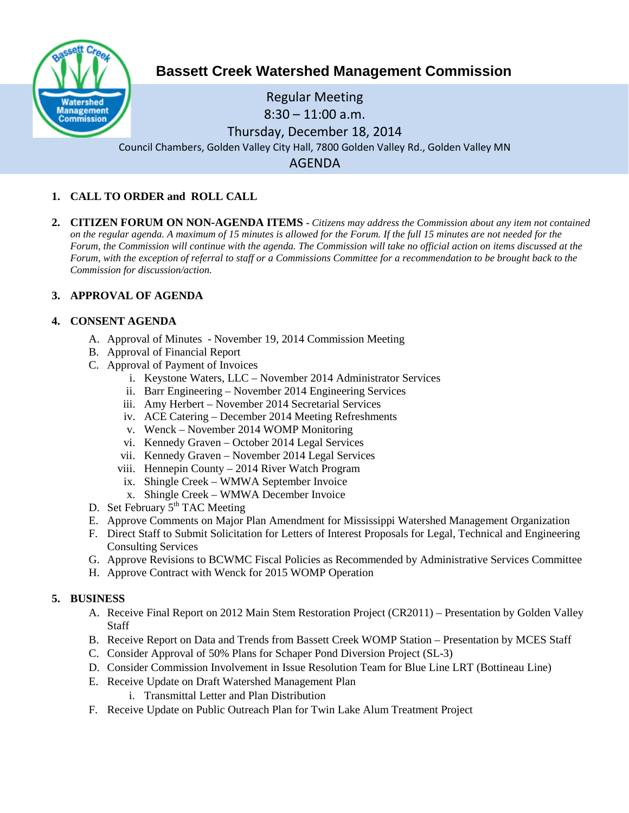

# **Bassett Creek Watershed Management Commission**

# Regular Meeting 8:30 – 11:00 a.m. Thursday, December 18, 2014 Council Chambers, Golden Valley City Hall, 7800 Golden Valley Rd., Golden Valley MN AGENDA

# **1. CALL TO ORDER and ROLL CALL**

**2. CITIZEN FORUM ON NON-AGENDA ITEMS -** *Citizens may address the Commission about any item not contained on the regular agenda. A maximum of 15 minutes is allowed for the Forum. If the full 15 minutes are not needed for the Forum, the Commission will continue with the agenda. The Commission will take no official action on items discussed at the Forum, with the exception of referral to staff or a Commissions Committee for a recommendation to be brought back to the Commission for discussion/action.*

# **3. APPROVAL OF AGENDA**

#### **4. CONSENT AGENDA**

- A. Approval of Minutes November 19, 2014 Commission Meeting
- B. Approval of Financial Report
- C. Approval of Payment of Invoices
	- i. Keystone Waters, LLC November 2014 Administrator Services
	- ii. Barr Engineering November 2014 Engineering Services
	- iii. Amy Herbert November 2014 Secretarial Services
	- iv. ACE Catering December 2014 Meeting Refreshments
	- v. Wenck November 2014 WOMP Monitoring
	- vi. Kennedy Graven October 2014 Legal Services
	- vii. Kennedy Graven November 2014 Legal Services
	- viii. Hennepin County 2014 River Watch Program
	- ix. Shingle Creek WMWA September Invoice
	- x. Shingle Creek WMWA December Invoice
- D. Set February  $5<sup>th</sup> TAC$  Meeting
- E. Approve Comments on Major Plan Amendment for Mississippi Watershed Management Organization
- F. Direct Staff to Submit Solicitation for Letters of Interest Proposals for Legal, Technical and Engineering Consulting Services
- G. Approve Revisions to BCWMC Fiscal Policies as Recommended by Administrative Services Committee
- H. Approve Contract with Wenck for 2015 WOMP Operation

# **5. BUSINESS**

- A. Receive Final Report on 2012 Main Stem Restoration Project (CR2011) Presentation by Golden Valley **Staff**
- B. Receive Report on Data and Trends from Bassett Creek WOMP Station Presentation by MCES Staff
- C. Consider Approval of 50% Plans for Schaper Pond Diversion Project (SL-3)
- D. Consider Commission Involvement in Issue Resolution Team for Blue Line LRT (Bottineau Line)
- E. Receive Update on Draft Watershed Management Plan
	- i. Transmittal Letter and Plan Distribution
- F. Receive Update on Public Outreach Plan for Twin Lake Alum Treatment Project